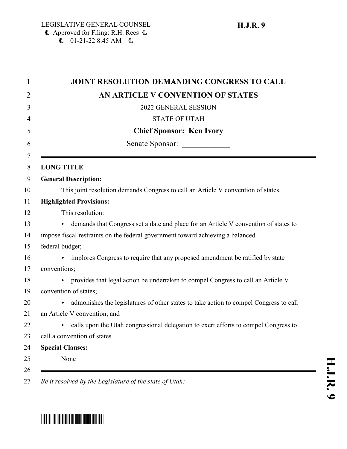| <b>JOINT RESOLUTION DEMANDING CONGRESS TO CALL</b>                                        |
|-------------------------------------------------------------------------------------------|
| AN ARTICLE V CONVENTION OF STATES                                                         |
| 2022 GENERAL SESSION                                                                      |
| <b>STATE OF UTAH</b>                                                                      |
| <b>Chief Sponsor: Ken Ivory</b>                                                           |
| Senate Sponsor:                                                                           |
| <b>LONG TITLE</b>                                                                         |
| <b>General Description:</b>                                                               |
| This joint resolution demands Congress to call an Article V convention of states.         |
| <b>Highlighted Provisions:</b>                                                            |
| This resolution:                                                                          |
| demands that Congress set a date and place for an Article V convention of states to<br>►  |
| impose fiscal restraints on the federal government toward achieving a balanced            |
| federal budget;                                                                           |
| implores Congress to require that any proposed amendment be ratified by state             |
| conventions;                                                                              |
| provides that legal action be undertaken to compel Congress to call an Article V          |
| convention of states;                                                                     |
| admonishes the legislatures of other states to take action to compel Congress to call     |
| an Article V convention; and                                                              |
| calls upon the Utah congressional delegation to exert efforts to compel Congress to<br>▶. |
| call a convention of states.                                                              |
| <b>Special Clauses:</b>                                                                   |
| None                                                                                      |

# \*HJR009\*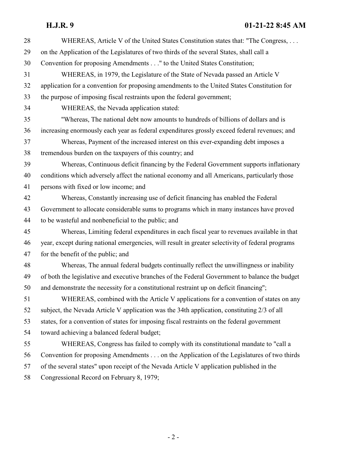## **H.J.R. 9 01-21-22 8:45 AM**

| 28 | WHEREAS, Article V of the United States Constitution states that: "The Congress,                 |
|----|--------------------------------------------------------------------------------------------------|
| 29 | on the Application of the Legislatures of two thirds of the several States, shall call a         |
| 30 | Convention for proposing Amendments" to the United States Constitution;                          |
| 31 | WHEREAS, in 1979, the Legislature of the State of Nevada passed an Article V                     |
| 32 | application for a convention for proposing amendments to the United States Constitution for      |
| 33 | the purpose of imposing fiscal restraints upon the federal government;                           |
| 34 | WHEREAS, the Nevada application stated:                                                          |
| 35 | "Whereas, The national debt now amounts to hundreds of billions of dollars and is                |
| 36 | increasing enormously each year as federal expenditures grossly exceed federal revenues; and     |
| 37 | Whereas, Payment of the increased interest on this ever-expanding debt imposes a                 |
| 38 | tremendous burden on the taxpayers of this country; and                                          |
| 39 | Whereas, Continuous deficit financing by the Federal Government supports inflationary            |
| 40 | conditions which adversely affect the national economy and all Americans, particularly those     |
| 41 | persons with fixed or low income; and                                                            |
| 42 | Whereas, Constantly increasing use of deficit financing has enabled the Federal                  |
| 43 | Government to allocate considerable sums to programs which in many instances have proved         |
| 44 | to be wasteful and nonbeneficial to the public; and                                              |
| 45 | Whereas, Limiting federal expenditures in each fiscal year to revenues available in that         |
| 46 | year, except during national emergencies, will result in greater selectivity of federal programs |
| 47 | for the benefit of the public; and                                                               |
| 48 | Whereas, The annual federal budgets continually reflect the unwillingness or inability           |
| 49 | of both the legislative and executive branches of the Federal Government to balance the budget   |
| 50 | and demonstrate the necessity for a constitutional restraint up on deficit financing";           |
| 51 | WHEREAS, combined with the Article V applications for a convention of states on any              |
| 52 | subject, the Nevada Article V application was the 34th application, constituting 2/3 of all      |
| 53 | states, for a convention of states for imposing fiscal restraints on the federal government      |
| 54 | toward achieving a balanced federal budget;                                                      |
| 55 | WHEREAS, Congress has failed to comply with its constitutional mandate to "call a                |
| 56 | Convention for proposing Amendments on the Application of the Legislatures of two thirds         |
| 57 | of the several states" upon receipt of the Nevada Article V application published in the         |
| 58 | Congressional Record on February 8, 1979;                                                        |
|    |                                                                                                  |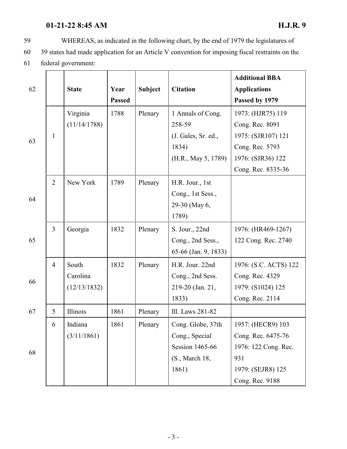### **01-21-22 8:45 AM H.J.R. 9**

- 59 WHEREAS, as indicated in the following chart, by the end of 1979 the legislatures of
- 60 39 states had made application for an Article V convention for imposing fiscal restraints on the
- 61 federal government:

| 62 |                | <b>State</b>                      | Year<br><b>Passed</b> | <b>Subject</b> | <b>Citation</b>                                                                          | <b>Additional BBA</b><br><b>Applications</b><br>Passed by 1979                              |
|----|----------------|-----------------------------------|-----------------------|----------------|------------------------------------------------------------------------------------------|---------------------------------------------------------------------------------------------|
| 63 |                | Virginia<br>(11/14/1788)          | 1788                  | Plenary        | 1 Annals of Cong.<br>258-59                                                              | 1973: (HJR75) 119<br>Cong. Rec. 8091                                                        |
|    | $\mathbf{1}$   |                                   |                       |                | (J. Gales, Sr. ed.,<br>1834)<br>(H.R., May 5, 1789)                                      | 1975: (SJR107) 121<br>Cong. Rec. 5793<br>1976: (SJR36) 122<br>Cong. Rec. 8335-36            |
| 64 | $\overline{2}$ | New York                          | 1789                  | Plenary        | H.R. Jour., 1st<br>Cong., 1st Sess.,<br>29-30 (May 6,<br>1789)                           |                                                                                             |
| 65 | $\overline{3}$ | Georgia                           | 1832                  | Plenary        | S. Jour., 22nd<br>Cong., 2nd Sess.,<br>65-66 (Jan. 9, 1833)                              | 1976: (HR469-1267)<br>122 Cong. Rec. 2740                                                   |
| 66 | $\overline{4}$ | South<br>Carolina<br>(12/13/1832) | 1832                  | Plenary        | H.R. Jour. 22nd<br>Cong., 2nd Sess.<br>219-20 (Jan. 21,<br>1833)                         | 1976: (S.C. ACTS) 122<br>Cong. Rec. 4329<br>1979: (S1024) 125<br>Cong. Rec. 2114            |
| 67 | 5              | Illinois                          | 1861                  | Plenary        | Ill. Laws 281-82                                                                         |                                                                                             |
| 68 | 6              | Indiana<br>(3/11/1861)            | 1861                  | Plenary        | Cong. Globe, 37th<br>Cong., Special<br><b>Session 1465-66</b><br>(S., March 18,<br>1861) | 1957: (HECR9) 103<br>Cong. Rec. 6475-76<br>1976: 122 Cong. Rec.<br>931<br>1979: (SEJR8) 125 |
|    |                |                                   |                       |                |                                                                                          | Cong. Rec. 9188                                                                             |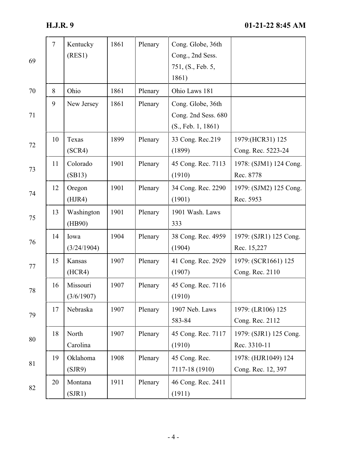| 69     | $\overline{7}$ | Kentucky<br>(RES1)     | 1861 | Plenary | Cong. Globe, 36th<br>Cong., 2nd Sess.<br>751, (S., Feb. 5,<br>1861) |                                           |
|--------|----------------|------------------------|------|---------|---------------------------------------------------------------------|-------------------------------------------|
| 70     | 8              | Ohio                   | 1861 | Plenary | Ohio Laws 181                                                       |                                           |
| 71     | 9              | New Jersey             | 1861 | Plenary | Cong. Globe, 36th<br>Cong. 2nd Sess. 680<br>(S., Feb. 1, 1861)      |                                           |
| 72     | 10             | Texas<br>(SCR4)        | 1899 | Plenary | 33 Cong. Rec.219<br>(1899)                                          | 1979: (HCR31) 125<br>Cong. Rec. 5223-24   |
| 73     | 11             | Colorado<br>(SB13)     | 1901 | Plenary | 45 Cong. Rec. 7113<br>(1910)                                        | 1978: (SJM1) 124 Cong.<br>Rec. 8778       |
| 74     | 12             | Oregon<br>(HJR4)       | 1901 | Plenary | 34 Cong. Rec. 2290<br>(1901)                                        | 1979: (SJM2) 125 Cong.<br>Rec. 5953       |
| 75     | 13             | Washington<br>(HB90)   | 1901 | Plenary | 1901 Wash. Laws<br>333                                              |                                           |
| 76     | 14             | Iowa<br>(3/24/1904)    | 1904 | Plenary | 38 Cong. Rec. 4959<br>(1904)                                        | 1979: (SJR1) 125 Cong.<br>Rec. 15,227     |
| 77     | 15             | Kansas<br>(HCR4)       | 1907 | Plenary | 41 Cong. Rec. 2929<br>(1907)                                        | 1979: (SCR1661) 125<br>Cong. Rec. 2110    |
| $78\,$ | 16             | Missouri<br>(3/6/1907) | 1907 | Plenary | 45 Cong. Rec. 7116<br>(1910)                                        |                                           |
| 79     | 17             | Nebraska               | 1907 | Plenary | 1907 Neb. Laws<br>583-84                                            | 1979: (LR106) 125<br>Cong. Rec. 2112      |
| 80     | 18             | North<br>Carolina      | 1907 | Plenary | 45 Cong. Rec. 7117<br>(1910)                                        | 1979: (SJR1) 125 Cong.<br>Rec. 3310-11    |
| 81     | 19             | Oklahoma<br>(SJR9)     | 1908 | Plenary | 45 Cong. Rec.<br>7117-18 (1910)                                     | 1978: (HJR1049) 124<br>Cong. Rec. 12, 397 |
| 82     | 20             | Montana<br>(SJR1)      | 1911 | Plenary | 46 Cong. Rec. 2411<br>(1911)                                        |                                           |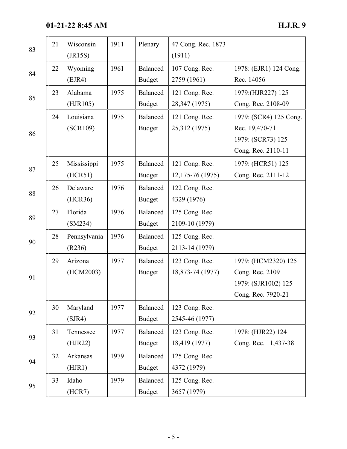**01-21-22 8:45 AM H.J.R. 9**

| 83 | 21 | Wisconsin<br>(JR15S)   | 1911 | Plenary                   | 47 Cong. Rec. 1873<br>(1911)          |                                                                                     |
|----|----|------------------------|------|---------------------------|---------------------------------------|-------------------------------------------------------------------------------------|
| 84 | 22 | Wyoming<br>(EJR4)      | 1961 | Balanced<br><b>Budget</b> | 107 Cong. Rec.<br>2759 (1961)         | 1978: (EJR1) 124 Cong.<br>Rec. 14056                                                |
| 85 | 23 | Alabama<br>(HJR105)    | 1975 | Balanced<br><b>Budget</b> | 121 Cong. Rec.<br>28,347 (1975)       | 1979:(HJR227) 125<br>Cong. Rec. 2108-09                                             |
| 86 | 24 | Louisiana<br>(SCR109)  | 1975 | Balanced<br><b>Budget</b> | 121 Cong. Rec.<br>25,312 (1975)       | 1979: (SCR4) 125 Cong.<br>Rec. 19,470-71<br>1979: (SCR73) 125<br>Cong. Rec. 2110-11 |
| 87 | 25 | Mississippi<br>(HCR51) | 1975 | Balanced<br><b>Budget</b> | 121 Cong. Rec.<br>12, 175 - 76 (1975) | 1979: (HCR51) 125<br>Cong. Rec. 2111-12                                             |
| 88 | 26 | Delaware<br>(HCR36)    | 1976 | Balanced<br><b>Budget</b> | 122 Cong. Rec.<br>4329 (1976)         |                                                                                     |
| 89 | 27 | Florida<br>(SM234)     | 1976 | Balanced<br><b>Budget</b> | 125 Cong. Rec.<br>2109-10 (1979)      |                                                                                     |
| 90 | 28 | Pennsylvania<br>(R236) | 1976 | Balanced<br><b>Budget</b> | 125 Cong. Rec.<br>2113-14 (1979)      |                                                                                     |
| 91 | 29 | Arizona<br>(HCM2003)   | 1977 | Balanced<br><b>Budget</b> | 123 Cong. Rec.<br>18,873-74 (1977)    | 1979: (HCM2320) 125<br>Cong. Rec. 2109<br>1979: (SJR1002) 125<br>Cong. Rec. 7920-21 |
| 92 | 30 | Maryland<br>(SJR4)     | 1977 | Balanced<br><b>Budget</b> | 123 Cong. Rec.<br>2545-46 (1977)      |                                                                                     |
| 93 | 31 | Tennessee<br>(HJR22)   | 1977 | Balanced<br><b>Budget</b> | 123 Cong. Rec.<br>18,419 (1977)       | 1978: (HJR22) 124<br>Cong. Rec. 11,437-38                                           |
| 94 | 32 | Arkansas<br>(HJR1)     | 1979 | Balanced<br><b>Budget</b> | 125 Cong. Rec.<br>4372 (1979)         |                                                                                     |
| 95 | 33 | Idaho<br>(HCR7)        | 1979 | Balanced<br><b>Budget</b> | 125 Cong. Rec.<br>3657 (1979)         |                                                                                     |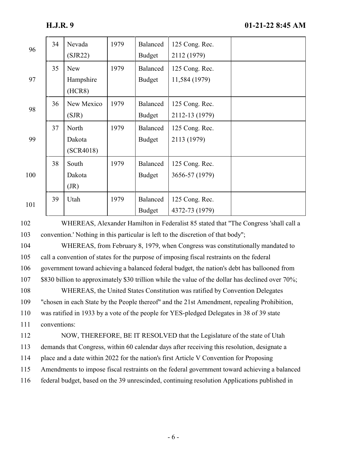| 96  | 34 | Nevada<br>(SJR22)                 | 1979 | Balanced<br><b>Budget</b> | 125 Cong. Rec.<br>2112 (1979)    |  |
|-----|----|-----------------------------------|------|---------------------------|----------------------------------|--|
| 97  | 35 | <b>New</b><br>Hampshire<br>(HCR8) | 1979 | Balanced<br><b>Budget</b> | 125 Cong. Rec.<br>11,584 (1979)  |  |
| 98  | 36 | New Mexico<br>(SJR)               | 1979 | Balanced<br><b>Budget</b> | 125 Cong. Rec.<br>2112-13 (1979) |  |
| 99  | 37 | North<br>Dakota<br>(SCR4018)      | 1979 | Balanced<br><b>Budget</b> | 125 Cong. Rec.<br>2113 (1979)    |  |
| 100 | 38 | South<br>Dakota<br>(JR)           | 1979 | Balanced<br><b>Budget</b> | 125 Cong. Rec.<br>3656-57 (1979) |  |
| 101 | 39 | Utah                              | 1979 | Balanced<br><b>Budget</b> | 125 Cong. Rec.<br>4372-73 (1979) |  |

102 WHEREAS, Alexander Hamilton in Federalist 85 stated that "The Congress 'shall call a 103 convention.' Nothing in this particular is left to the discretion of that body";

 WHEREAS, from February 8, 1979, when Congress was constitutionally mandated to call a convention of states for the purpose of imposing fiscal restraints on the federal government toward achieving a balanced federal budget, the nation's debt has ballooned from \$830 billion to approximately \$30 trillion while the value of the dollar has declined over 70%; WHEREAS, the United States Constitution was ratified by Convention Delegates "chosen in each State by the People thereof" and the 21st Amendment, repealing Prohibition, was ratified in 1933 by a vote of the people for YES-pledged Delegates in 38 of 39 state conventions: NOW, THEREFORE, BE IT RESOLVED that the Legislature of the state of Utah demands that Congress, within 60 calendar days after receiving this resolution, designate a place and a date within 2022 for the nation's first Article V Convention for Proposing Amendments to impose fiscal restraints on the federal government toward achieving a balanced

116 federal budget, based on the 39 unrescinded, continuing resolution Applications published in